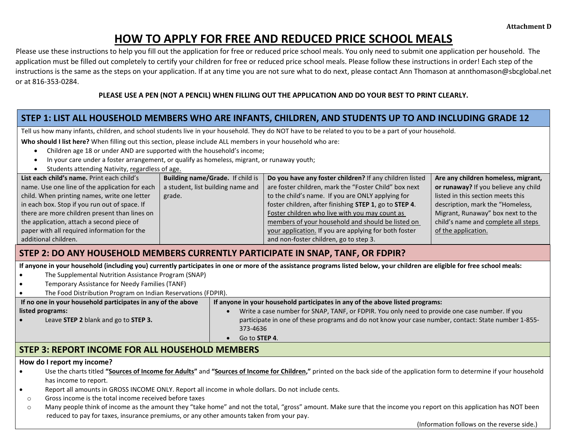# **HOW TO APPLY FOR FREE AND REDUCED PRICE SCHOOL MEALS**

Please use these instructions to help you fill out the application for free or reduced price school meals. You only need to submit one application per household. The application must be filled out completely to certify your children for free or reduced price school meals. Please follow these instructions in order! Each step of the instructions is the same as the steps on your application. If at any time you are not sure what to do next, please contact Ann Thomason at annthomason@sbcglobal.net or at 816-353-0284.

### **PLEASE USE A PEN (NOT A PENCIL) WHEN FILLING OUT THE APPLICATION AND DO YOUR BEST TO PRINT CLEARLY.**

# **STEP 1: LIST ALL HOUSEHOLD MEMBERS WHO ARE INFANTS, CHILDREN, AND STUDENTS UP TO AND INCLUDING GRADE 12**

Tell us how many infants, children, and school students live in your household. They do NOT have to be related to you to be a part of your household.

**Who should I list here?** When filling out this section, please include ALL members in your household who are:

- Children age 18 or under AND are supported with the household's income;
- In your care under a foster arrangement, or qualify as homeless, migrant, or runaway youth;
- Students attending Nativity, regardless of age.

| List each child's name. Print each child's     | Building name/Grade. If child is  | Do you have any foster children? If any children listed | Are any children homeless, migrant,  |
|------------------------------------------------|-----------------------------------|---------------------------------------------------------|--------------------------------------|
| name. Use one line of the application for each | a student, list building name and | are foster children, mark the "Foster Child" box next   | or runaway? If you believe any child |
| child. When printing names, write one letter   | grade.                            | to the child's name. If you are ONLY applying for       | listed in this section meets this    |
| in each box. Stop if you run out of space. If  |                                   | foster children, after finishing STEP 1, go to STEP 4.  | description, mark the "Homeless,     |
| there are more children present than lines on  |                                   | Foster children who live with you may count as          | Migrant, Runaway" box next to the    |
| the application, attach a second piece of      |                                   | members of your household and should be listed on       | child's name and complete all steps  |
| paper with all required information for the    |                                   | your application. If you are applying for both foster   | of the application.                  |
| additional children.                           |                                   | and non-foster children, go to step 3.                  |                                      |

# **STEP 2: DO ANY HOUSEHOLD MEMBERS CURRENTLY PARTICIPATE IN SNAP, TANF, OR FDPIR?**

**If anyone in your household (including you) currently participates in one or more of the assistance programs listed below, your children are eligible for free school meals:**

- The Supplemental Nutrition Assistance Program (SNAP)
- Temporary Assistance for Needy Families (TANF)
- The Food Distribution Program on Indian Reservations (FDPIR).

| If no one in your household participates in any of the above | If anyone in your household participates in any of the above listed programs:                       |  |  |  |
|--------------------------------------------------------------|-----------------------------------------------------------------------------------------------------|--|--|--|
| listed programs:                                             | Write a case number for SNAP, TANF, or FDPIR. You only need to provide one case number. If you      |  |  |  |
| Leave STEP 2 blank and go to STEP 3.                         | participate in one of these programs and do not know your case number, contact: State number 1-855- |  |  |  |
|                                                              | 373-4636                                                                                            |  |  |  |
|                                                              | Go to STEP 4.                                                                                       |  |  |  |
|                                                              |                                                                                                     |  |  |  |

# **STEP 3: REPORT INCOME FOR ALL HOUSEHOLD MEMBERS**

### **How do I report my income?**

- Use the charts titled **"Sources of Income for Adults"** and **"Sources of Income for Children,"** printed on the back side of the application form to determine if your household has income to report.
- Report all amounts in GROSS INCOME ONLY. Report all income in whole dollars. Do not include cents.
- o Gross income is the total income received before taxes
- $\circ$  Many people think of income as the amount they "take home" and not the total, "gross" amount. Make sure that the income you report on this application has NOT been reduced to pay for taxes, insurance premiums, or any other amounts taken from your pay.

(Information follows on the reverse side.)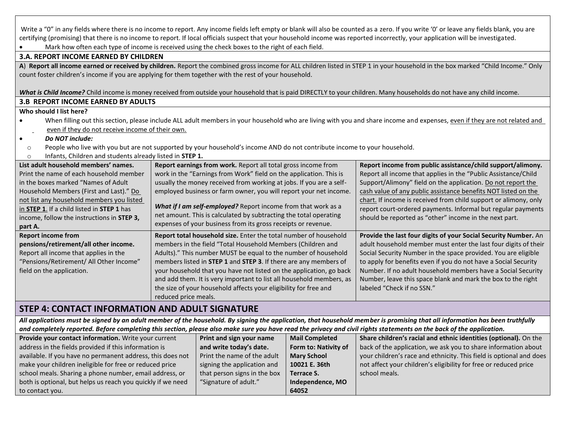| Write a "0" in any fields where there is no income to report. Any income fields left empty or blank will also be counted as a zero. If you write '0' or leave any fields blank, you are<br>certifying (promising) that there is no income to report. If local officials suspect that your household income was reported incorrectly, your application will be investigated. |                                                                                                                                                                                             |                   |                                                                                                                                                                                  |  |  |  |  |
|-----------------------------------------------------------------------------------------------------------------------------------------------------------------------------------------------------------------------------------------------------------------------------------------------------------------------------------------------------------------------------|---------------------------------------------------------------------------------------------------------------------------------------------------------------------------------------------|-------------------|----------------------------------------------------------------------------------------------------------------------------------------------------------------------------------|--|--|--|--|
| Mark how often each type of income is received using the check boxes to the right of each field.                                                                                                                                                                                                                                                                            |                                                                                                                                                                                             |                   |                                                                                                                                                                                  |  |  |  |  |
| <b>3.A. REPORT INCOME EARNED BY CHILDREN</b>                                                                                                                                                                                                                                                                                                                                |                                                                                                                                                                                             |                   |                                                                                                                                                                                  |  |  |  |  |
| count foster children's income if you are applying for them together with the rest of your household.                                                                                                                                                                                                                                                                       |                                                                                                                                                                                             |                   | A) Report all income earned or received by children. Report the combined gross income for ALL children listed in STEP 1 in your household in the box marked "Child Income." Only |  |  |  |  |
|                                                                                                                                                                                                                                                                                                                                                                             |                                                                                                                                                                                             |                   |                                                                                                                                                                                  |  |  |  |  |
|                                                                                                                                                                                                                                                                                                                                                                             |                                                                                                                                                                                             |                   | What is Child Income? Child income is money received from outside your household that is paid DIRECTLY to your children. Many households do not have any child income.           |  |  |  |  |
| <b>3.B REPORT INCOME EARNED BY ADULTS</b>                                                                                                                                                                                                                                                                                                                                   |                                                                                                                                                                                             |                   |                                                                                                                                                                                  |  |  |  |  |
| Who should I list here?                                                                                                                                                                                                                                                                                                                                                     |                                                                                                                                                                                             |                   |                                                                                                                                                                                  |  |  |  |  |
|                                                                                                                                                                                                                                                                                                                                                                             |                                                                                                                                                                                             |                   | When filling out this section, please include ALL adult members in your household who are living with you and share income and expenses, even if they are not related and        |  |  |  |  |
| even if they do not receive income of their own.                                                                                                                                                                                                                                                                                                                            |                                                                                                                                                                                             |                   |                                                                                                                                                                                  |  |  |  |  |
| Do NOT include:<br>$\bullet$                                                                                                                                                                                                                                                                                                                                                |                                                                                                                                                                                             |                   |                                                                                                                                                                                  |  |  |  |  |
| People who live with you but are not supported by your household's income AND do not contribute income to your household.<br>$\circ$                                                                                                                                                                                                                                        |                                                                                                                                                                                             |                   |                                                                                                                                                                                  |  |  |  |  |
| Infants, Children and students already listed in STEP 1.<br>$\circ$                                                                                                                                                                                                                                                                                                         |                                                                                                                                                                                             |                   |                                                                                                                                                                                  |  |  |  |  |
| List adult household members' names.                                                                                                                                                                                                                                                                                                                                        | Report earnings from work. Report all total gross income from                                                                                                                               |                   | Report income from public assistance/child support/alimony.                                                                                                                      |  |  |  |  |
| Print the name of each household member                                                                                                                                                                                                                                                                                                                                     | work in the "Earnings from Work" field on the application. This is                                                                                                                          |                   | Report all income that applies in the "Public Assistance/Child                                                                                                                   |  |  |  |  |
| in the boxes marked "Names of Adult                                                                                                                                                                                                                                                                                                                                         | usually the money received from working at jobs. If you are a self-<br>Support/Alimony" field on the application. Do not report the                                                         |                   |                                                                                                                                                                                  |  |  |  |  |
| Household Members (First and Last)." Do<br>not list any household members you listed                                                                                                                                                                                                                                                                                        | employed business or farm owner, you will report your net income.<br>cash value of any public assistance benefits NOT listed on the                                                         |                   |                                                                                                                                                                                  |  |  |  |  |
| in STEP 1. If a child listed in STEP 1 has                                                                                                                                                                                                                                                                                                                                  | chart. If income is received from child support or alimony, only<br>What if I am self-employed? Report income from that work as a                                                           |                   |                                                                                                                                                                                  |  |  |  |  |
| income, follow the instructions in STEP 3,                                                                                                                                                                                                                                                                                                                                  | report court-ordered payments. Informal but regular payments<br>net amount. This is calculated by subtracting the total operating<br>should be reported as "other" income in the next part. |                   |                                                                                                                                                                                  |  |  |  |  |
| expenses of your business from its gross receipts or revenue.<br>part A.                                                                                                                                                                                                                                                                                                    |                                                                                                                                                                                             |                   |                                                                                                                                                                                  |  |  |  |  |
| <b>Report income from</b><br>Report total household size. Enter the total number of household<br>Provide the last four digits of your Social Security Number. An                                                                                                                                                                                                            |                                                                                                                                                                                             |                   |                                                                                                                                                                                  |  |  |  |  |
| pensions/retirement/all other income.                                                                                                                                                                                                                                                                                                                                       | members in the field "Total Household Members (Children and                                                                                                                                 |                   | adult household member must enter the last four digits of their                                                                                                                  |  |  |  |  |
| Report all income that applies in the                                                                                                                                                                                                                                                                                                                                       | Adults)." This number MUST be equal to the number of household                                                                                                                              |                   | Social Security Number in the space provided. You are eligible                                                                                                                   |  |  |  |  |
| "Pensions/Retirement/ All Other Income"                                                                                                                                                                                                                                                                                                                                     | members listed in STEP 1 and STEP 3. If there are any members of                                                                                                                            |                   | to apply for benefits even if you do not have a Social Security                                                                                                                  |  |  |  |  |
| field on the application.                                                                                                                                                                                                                                                                                                                                                   | your household that you have not listed on the application, go back                                                                                                                         |                   | Number. If no adult household members have a Social Security                                                                                                                     |  |  |  |  |
|                                                                                                                                                                                                                                                                                                                                                                             | and add them. It is very important to list all household members, as                                                                                                                        |                   | Number, leave this space blank and mark the box to the right                                                                                                                     |  |  |  |  |
|                                                                                                                                                                                                                                                                                                                                                                             | labeled "Check if no SSN."<br>the size of your household affects your eligibility for free and                                                                                              |                   |                                                                                                                                                                                  |  |  |  |  |
|                                                                                                                                                                                                                                                                                                                                                                             | reduced price meals.                                                                                                                                                                        |                   |                                                                                                                                                                                  |  |  |  |  |
| <b>STEP 4: CONTACT INFORMATION AND ADULT SIGNATURE</b>                                                                                                                                                                                                                                                                                                                      |                                                                                                                                                                                             |                   |                                                                                                                                                                                  |  |  |  |  |
| All applications must be signed by an adult member of the household. By signing the application, that household member is promising that all information has been truthfully                                                                                                                                                                                                |                                                                                                                                                                                             |                   |                                                                                                                                                                                  |  |  |  |  |
| and completely reported. Before completing this section, please also make sure you have read the privacy and civil rights statements on the back of the application.                                                                                                                                                                                                        |                                                                                                                                                                                             |                   |                                                                                                                                                                                  |  |  |  |  |
| Provide your contact information. Write your current<br>Print and sign your name<br><b>Mail Completed</b><br>Share children's racial and ethnic identities (optional). On the                                                                                                                                                                                               |                                                                                                                                                                                             |                   |                                                                                                                                                                                  |  |  |  |  |
| back of the application, we ask you to share information about<br>address in the fields provided if this information is<br>and write today's date.<br>Form to: Nativity of                                                                                                                                                                                                  |                                                                                                                                                                                             |                   |                                                                                                                                                                                  |  |  |  |  |
| available. If you have no permanent address, this does not<br>Print the name of the adult<br><b>Mary School</b><br>your children's race and ethnicity. This field is optional and does<br>make your children ineligible for free or reduced price<br>10021 E. 36th<br>not affect your children's eligibility for free or reduced price<br>signing the application and       |                                                                                                                                                                                             |                   |                                                                                                                                                                                  |  |  |  |  |
| school meals. Sharing a phone number, email address, or                                                                                                                                                                                                                                                                                                                     | that person signs in the box                                                                                                                                                                | <b>Terrace S.</b> | school meals.                                                                                                                                                                    |  |  |  |  |
| both is optional, but helps us reach you quickly if we need                                                                                                                                                                                                                                                                                                                 | "Signature of adult."                                                                                                                                                                       | Independence, MO  |                                                                                                                                                                                  |  |  |  |  |
| 64052<br>to contact you.                                                                                                                                                                                                                                                                                                                                                    |                                                                                                                                                                                             |                   |                                                                                                                                                                                  |  |  |  |  |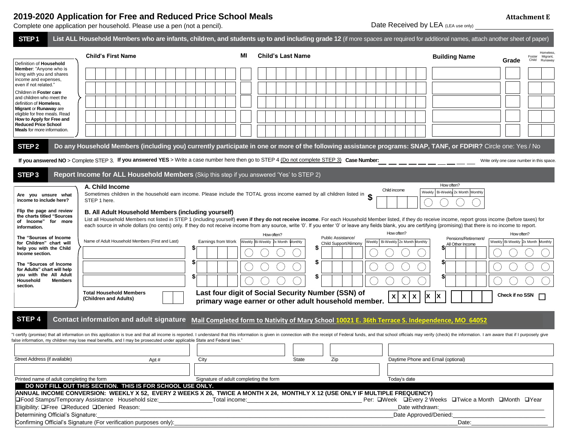### **2019-2020 Application for Free and Reduced Price School Meals**

Definition of **Household Member**: "Anyone who is living with you and shares income and expenses, even if not related." Children in **Foster care** and children who meet the definition of **Homeless**, **Migrant** or **Runaway** are eligible for free meals. Read **How to Apply for Free and Reduced Price School Meals** for more information.

|                                                                                                                                                                                                                                              | 010 EUEU APPIIUGIIUII IUI I IUU GIIU ILUUUUU I IIUU UUIIUUI IIIUGIU<br>omplete one application per household. Please use a pen (not a pencil). |    |                                                                                                                                                                                   | 110000111110116<br>Date Received by LEA (LEA use only)                  |  |  |
|----------------------------------------------------------------------------------------------------------------------------------------------------------------------------------------------------------------------------------------------|------------------------------------------------------------------------------------------------------------------------------------------------|----|-----------------------------------------------------------------------------------------------------------------------------------------------------------------------------------|-------------------------------------------------------------------------|--|--|
| STEP <sub>1</sub>                                                                                                                                                                                                                            |                                                                                                                                                |    | List ALL Household Members who are infants, children, and students up to and including grade 12 (if more spaces are required for additional names, attach another sheet of paper) |                                                                         |  |  |
| <b>Child's First Name</b>                                                                                                                                                                                                                    |                                                                                                                                                | МI | <b>Child's Last Name</b>                                                                                                                                                          | <b>Building Name</b><br>Migrant,<br>Foster<br>Runaway<br>Grade<br>Child |  |  |
| efinition of Household<br><b>lember</b> : "Anyone who is<br>ving with you and shares<br>come and expenses,<br>ven if not related."<br>hildren in Foster care<br>nd children who meet the<br>efinition of Homeless.<br>ligrant or Runaway are |                                                                                                                                                |    |                                                                                                                                                                                   |                                                                         |  |  |
| ligible for free meals. Read<br>low to Apply for Free and<br>educed Price School<br>leals for more information.                                                                                                                              |                                                                                                                                                |    |                                                                                                                                                                                   |                                                                         |  |  |
| STEP 2                                                                                                                                                                                                                                       |                                                                                                                                                |    | Do any Household Members (including you) currently participate in one or more of the following assistance programs: SNAP, TANF, or FDPIR? Circle one: Yes / No                    |                                                                         |  |  |
|                                                                                                                                                                                                                                              |                                                                                                                                                |    | If you answered NO > Complete STEP 3. If you answered YES > Write a case number here then go to STEP 4 (Do not complete STEP 3) Case Number:                                      | Write only one case number in this space.                               |  |  |
| STEP <sub>3</sub>                                                                                                                                                                                                                            | Report Income for ALL Household Members (Skip this step if you answered 'Yes' to STEP 2)                                                       |    |                                                                                                                                                                                   |                                                                         |  |  |
| A. Child Income                                                                                                                                                                                                                              |                                                                                                                                                |    | Child income<br>Conceitors abilities is the bounded to see issues. Disputed is that TOTAL associates as a second burst stillage than the                                          | How often?<br>Weekly Bi-Weekly 2x Month Monthly                         |  |  |

| Are you unsure what                                                           | A. Child Income<br>Sometimes children in the household earn income. Please include the TOTAL gross income earned by all children listed in                                                                                                                                                                                                                                                                                                                                                   |                    |                                                                                                            |                                             | Child income                                 | How often?<br>Weekly   Bi-Weekly 2x Month   Monthly |                                   |
|-------------------------------------------------------------------------------|----------------------------------------------------------------------------------------------------------------------------------------------------------------------------------------------------------------------------------------------------------------------------------------------------------------------------------------------------------------------------------------------------------------------------------------------------------------------------------------------|--------------------|------------------------------------------------------------------------------------------------------------|---------------------------------------------|----------------------------------------------|-----------------------------------------------------|-----------------------------------|
| income to include here?                                                       | STEP 1 here.                                                                                                                                                                                                                                                                                                                                                                                                                                                                                 |                    |                                                                                                            |                                             |                                              |                                                     |                                   |
| Flip the page and review<br>the charts titled "Sources<br>of Income" for more | B. All Adult Household Members (including yourself)<br>List all Household Members not listed in STEP 1 (including yourself) even if they do not receive income. For each Household Member listed, if they do receive income, report gross income (before taxes) for<br>each source in whole dollars (no cents) only. If they do not receive income from any source, write '0'. If you enter '0' or leave any fields blank, you are certifying (promising) that there is no income to report. |                    |                                                                                                            |                                             |                                              |                                                     |                                   |
| information.<br>The "Sources of Income"                                       |                                                                                                                                                                                                                                                                                                                                                                                                                                                                                              |                    | How often?                                                                                                 |                                             | How often?                                   |                                                     | How often?                        |
| for Children" chart will                                                      | Name of Adult Household Members (First and Last)                                                                                                                                                                                                                                                                                                                                                                                                                                             | Earnings from Work | Weekly Bi-Weekly 2x Month Monthly                                                                          | Public Assistance/<br>Child Support/Alimony | Weekly   Bi-Weekly 2x Month Monthly          | Pensions/Retirement/<br>All Other Income            | Weekly Bi-Weekly 2x Month Monthly |
| help you with the Child<br>Income section.                                    |                                                                                                                                                                                                                                                                                                                                                                                                                                                                                              |                    |                                                                                                            |                                             |                                              |                                                     |                                   |
| The "Sources of Income"<br>for Adults" chart will help                        |                                                                                                                                                                                                                                                                                                                                                                                                                                                                                              | æ                  |                                                                                                            |                                             |                                              |                                                     |                                   |
| you with the All Adult<br>Members<br>Household<br>section.                    |                                                                                                                                                                                                                                                                                                                                                                                                                                                                                              | - JD               |                                                                                                            |                                             |                                              |                                                     |                                   |
|                                                                               | <b>Total Household Members</b><br>(Children and Adults)                                                                                                                                                                                                                                                                                                                                                                                                                                      |                    | Last four digit of Social Security Number (SSN) of<br>primary wage earner or other adult household member. |                                             | $\mathsf{x}$<br>$\mathbf{x}$<br>$\mathsf{x}$ | <u>IX</u>                                           | Check if no SSN $\Box$            |
|                                                                               |                                                                                                                                                                                                                                                                                                                                                                                                                                                                                              |                    |                                                                                                            |                                             |                                              |                                                     |                                   |

#### **STEP 4**  Contact information and adult signature Mail Completed form to Nativity of Mary School 10021 E. 36th Terrace S. Independence, MO 64052

"I certify (promise) that all information on this application is true and that all income is reported. I understand that this information is given in connection with the receipt of Federal funds, and that school officials false information, my children may lose meal benefits, and I may be prosecuted under applicable State and Federal laws."

| Street Address (if available)                                                                                                | Apt#                  | City                                   | State | Zip             | Daytime Phone and Email (optional)                        |  |
|------------------------------------------------------------------------------------------------------------------------------|-----------------------|----------------------------------------|-------|-----------------|-----------------------------------------------------------|--|
|                                                                                                                              |                       |                                        |       |                 |                                                           |  |
| Printed name of adult completing the form                                                                                    |                       | Signature of adult completing the form |       |                 | Today's date                                              |  |
| DO NOT FILL OUT THIS SECTION. THIS IS FOR SCHOOL USE ONLY.                                                                   |                       |                                        |       |                 |                                                           |  |
| ANNUAL INCOME CONVERSION: WEEKLY X 52, EVERY 2 WEEKS X 26, TWICE A MONTH X 24, MONTHLY X 12 (USE ONLY IF MULTIPLE FREQUENCY) |                       |                                        |       |                 |                                                           |  |
| <b>Official Stamps/Temporary Assistance Household size:</b> The Contract Total income:                                       |                       |                                        |       |                 | Per: □Week □ Every 2 Weeks □ Twice a Month □ Month □ Year |  |
| Eligibility: OFree OReduced ODenied Reason:                                                                                  |                       |                                        |       | Date withdrawn: |                                                           |  |
| Determining Official's Signature:                                                                                            | Date Approved/Denied: |                                        |       |                 |                                                           |  |
| Confirming Official's Signature (For verification purposes only):<br>Date:                                                   |                       |                                        |       |                 |                                                           |  |

#### **Attachment E**